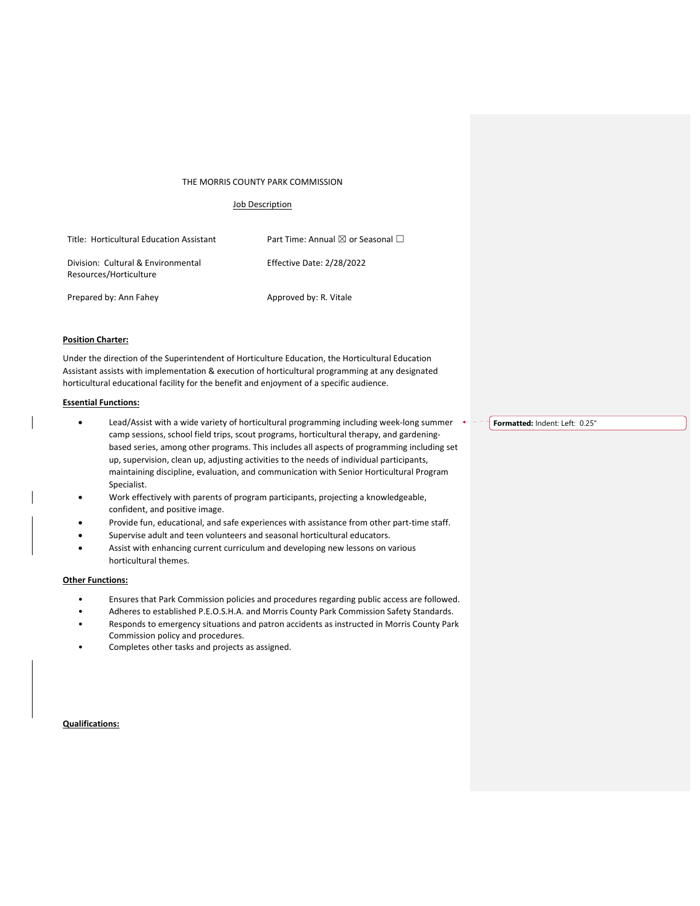## THE MORRIS COUNTY PARK COMMISSION

#### Job Description

| Title: Horticultural Education Assistant                     | Part Time: Annual $\boxtimes$ or Seasonal $\Box$ |
|--------------------------------------------------------------|--------------------------------------------------|
| Division: Cultural & Environmental<br>Resources/Horticulture | Effective Date: 2/28/2022                        |
| Prepared by: Ann Fahey                                       | Approved by: R. Vitale                           |

## **Position Charter:**

Under the direction of the Superintendent of Horticulture Education, the Horticultural Education Assistant assists with implementation & execution of horticultural programming at any designated horticultural educational facility for the benefit and enjoyment of a specific audience.

### **Essential Functions:**

- Lead/Assist with a wide variety of horticultural programming including week‐long summer camp sessions, school field trips, scout programs, horticultural therapy, and gardeningbased series, among other programs. This includes all aspects of programming including set up, supervision, clean up, adjusting activities to the needs of individual participants, maintaining discipline, evaluation, and communication with Senior Horticultural Program Specialist.
- Work effectively with parents of program participants, projecting a knowledgeable, confident, and positive image.
- Provide fun, educational, and safe experiences with assistance from other part‐time staff.
- Supervise adult and teen volunteers and seasonal horticultural educators.
- Assist with enhancing current curriculum and developing new lessons on various horticultural themes.

# **Other Functions:**

- Ensures that Park Commission policies and procedures regarding public access are followed.
- Adheres to established P.E.O.S.H.A. and Morris County Park Commission Safety Standards.
- Responds to emergency situations and patron accidents as instructed in Morris County Park Commission policy and procedures.
- Completes other tasks and projects as assigned.

#### **Qualifications:**

**Formatted:** Indent: Left: 0.25"